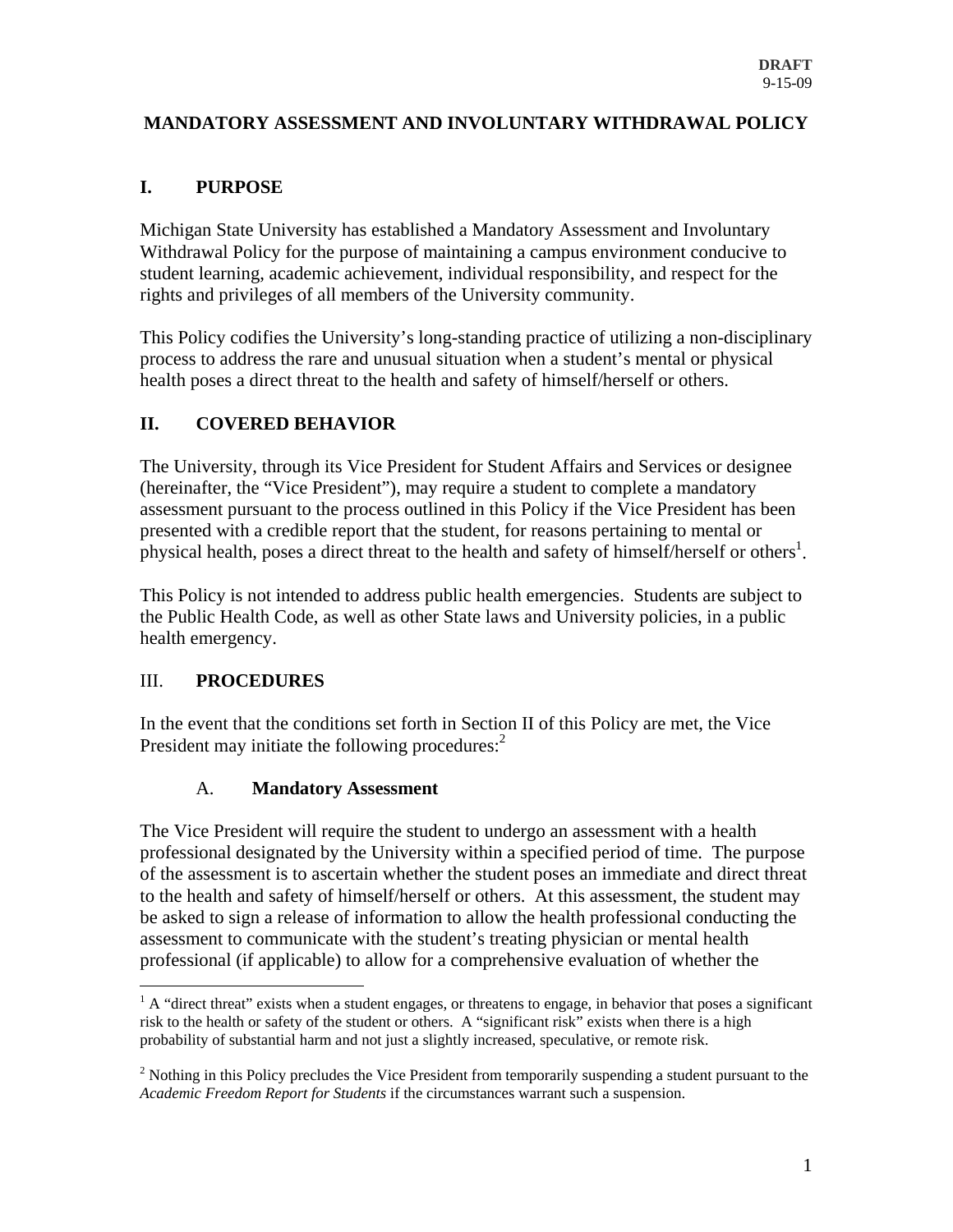### **MANDATORY ASSESSMENT AND INVOLUNTARY WITHDRAWAL POLICY**

### **I. PURPOSE**

Michigan State University has established a Mandatory Assessment and Involuntary Withdrawal Policy for the purpose of maintaining a campus environment conducive to student learning, academic achievement, individual responsibility, and respect for the rights and privileges of all members of the University community.

This Policy codifies the University's long-standing practice of utilizing a non-disciplinary process to address the rare and unusual situation when a student's mental or physical health poses a direct threat to the health and safety of himself/herself or others.

# **II. COVERED BEHAVIOR**

The University, through its Vice President for Student Affairs and Services or designee (hereinafter, the "Vice President"), may require a student to complete a mandatory assessment pursuant to the process outlined in this Policy if the Vice President has been presented with a credible report that the student, for reasons pertaining to mental or physical health, poses a direct threat to the health and safety of himself/herself or others<sup>1</sup>.

This Policy is not intended to address public health emergencies. Students are subject to the Public Health Code, as well as other State laws and University policies, in a public health emergency.

### III. **PROCEDURES**

In the event that the conditions set forth in Section II of this Policy are met, the Vice President may initiate the following procedures:<sup>2</sup>

### A. **Mandatory Assessment**

The Vice President will require the student to undergo an assessment with a health professional designated by the University within a specified period of time. The purpose of the assessment is to ascertain whether the student poses an immediate and direct threat to the health and safety of himself/herself or others. At this assessment, the student may be asked to sign a release of information to allow the health professional conducting the assessment to communicate with the student's treating physician or mental health professional (if applicable) to allow for a comprehensive evaluation of whether the

 $\overline{a}$  $<sup>1</sup>$  A "direct threat" exists when a student engages, or threatens to engage, in behavior that poses a significant</sup> risk to the health or safety of the student or others. A "significant risk" exists when there is a high probability of substantial harm and not just a slightly increased, speculative, or remote risk.

 $2$  Nothing in this Policy precludes the Vice President from temporarily suspending a student pursuant to the *Academic Freedom Report for Students* if the circumstances warrant such a suspension.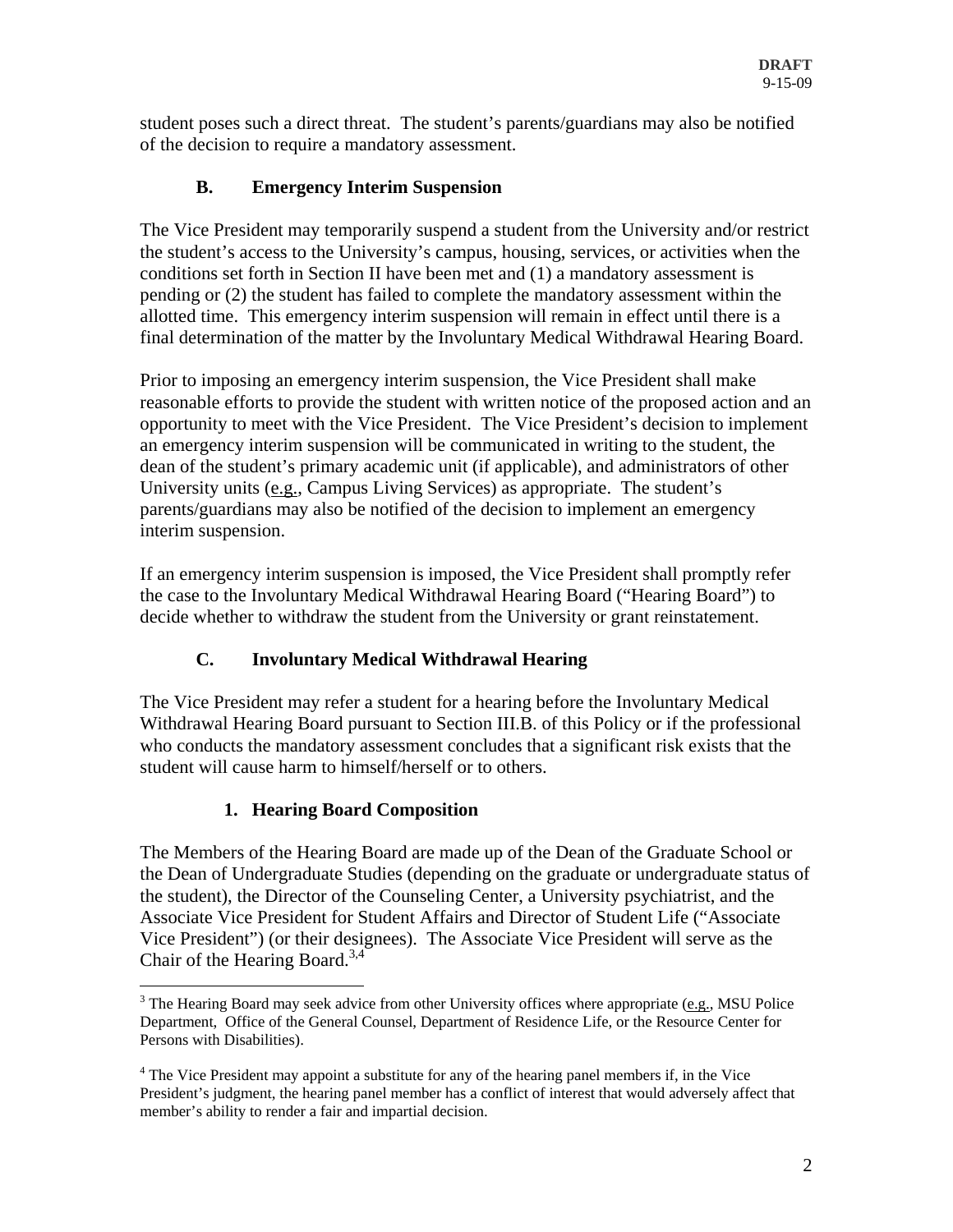student poses such a direct threat. The student's parents/guardians may also be notified of the decision to require a mandatory assessment.

# **B. Emergency Interim Suspension**

The Vice President may temporarily suspend a student from the University and/or restrict the student's access to the University's campus, housing, services, or activities when the conditions set forth in Section II have been met and (1) a mandatory assessment is pending or (2) the student has failed to complete the mandatory assessment within the allotted time. This emergency interim suspension will remain in effect until there is a final determination of the matter by the Involuntary Medical Withdrawal Hearing Board.

Prior to imposing an emergency interim suspension, the Vice President shall make reasonable efforts to provide the student with written notice of the proposed action and an opportunity to meet with the Vice President. The Vice President's decision to implement an emergency interim suspension will be communicated in writing to the student, the dean of the student's primary academic unit (if applicable), and administrators of other University units (e.g., Campus Living Services) as appropriate. The student's parents/guardians may also be notified of the decision to implement an emergency interim suspension.

If an emergency interim suspension is imposed, the Vice President shall promptly refer the case to the Involuntary Medical Withdrawal Hearing Board ("Hearing Board") to decide whether to withdraw the student from the University or grant reinstatement.

# **C. Involuntary Medical Withdrawal Hearing**

The Vice President may refer a student for a hearing before the Involuntary Medical Withdrawal Hearing Board pursuant to Section III.B. of this Policy or if the professional who conducts the mandatory assessment concludes that a significant risk exists that the student will cause harm to himself/herself or to others.

# **1. Hearing Board Composition**

The Members of the Hearing Board are made up of the Dean of the Graduate School or the Dean of Undergraduate Studies (depending on the graduate or undergraduate status of the student), the Director of the Counseling Center, a University psychiatrist, and the Associate Vice President for Student Affairs and Director of Student Life ("Associate Vice President") (or their designees). The Associate Vice President will serve as the Chair of the Hearing Board.<sup>3,4</sup>

 $\overline{a}$  $3$  The Hearing Board may seek advice from other University offices where appropriate (e.g., MSU Police Department, Office of the General Counsel, Department of Residence Life, or the Resource Center for Persons with Disabilities).

<sup>&</sup>lt;sup>4</sup> The Vice President may appoint a substitute for any of the hearing panel members if, in the Vice President's judgment, the hearing panel member has a conflict of interest that would adversely affect that member's ability to render a fair and impartial decision.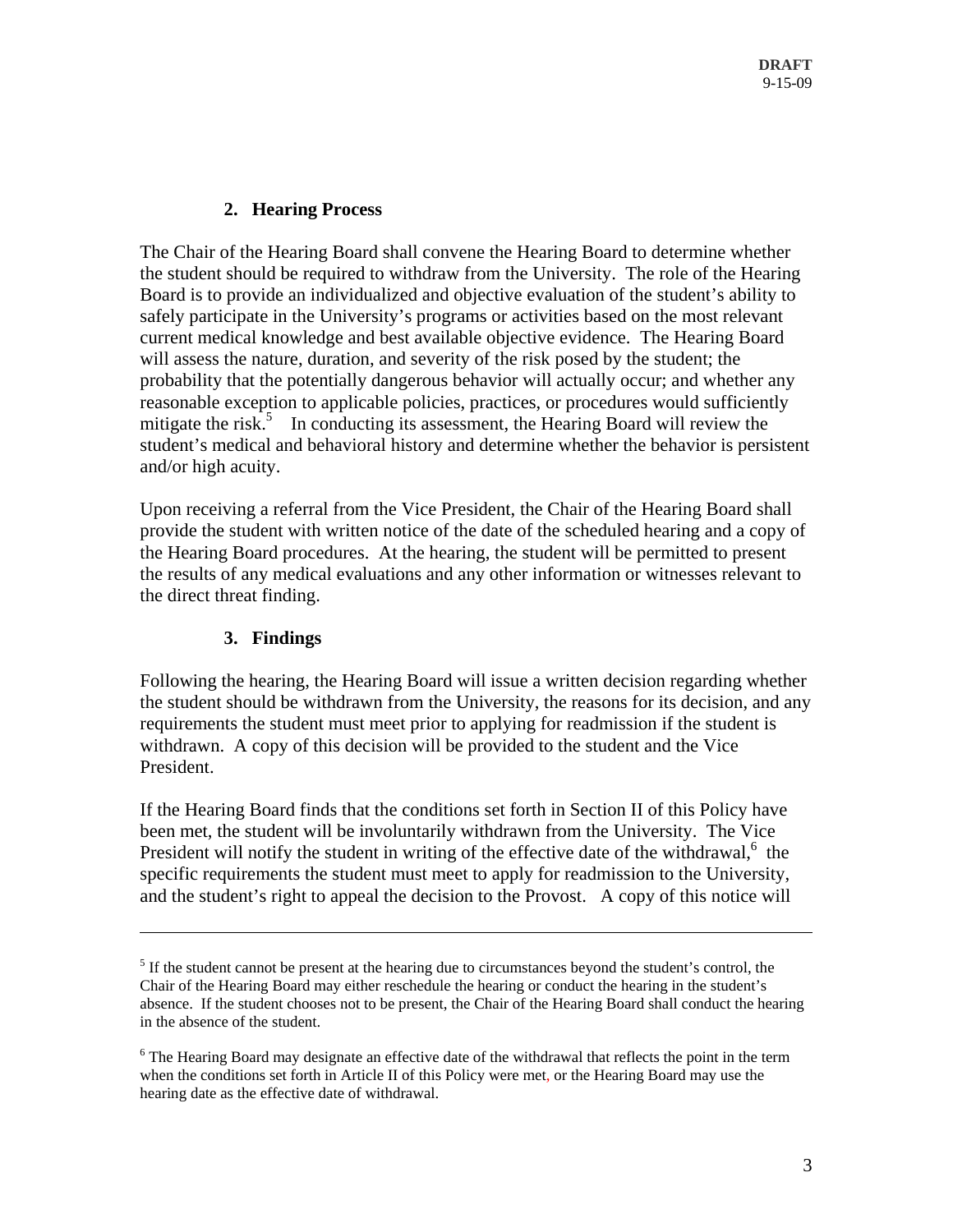#### **2. Hearing Process**

The Chair of the Hearing Board shall convene the Hearing Board to determine whether the student should be required to withdraw from the University. The role of the Hearing Board is to provide an individualized and objective evaluation of the student's ability to safely participate in the University's programs or activities based on the most relevant current medical knowledge and best available objective evidence. The Hearing Board will assess the nature, duration, and severity of the risk posed by the student; the probability that the potentially dangerous behavior will actually occur; and whether any reasonable exception to applicable policies, practices, or procedures would sufficiently mitigate the risk.<sup>5</sup> In conducting its assessment, the Hearing Board will review the student's medical and behavioral history and determine whether the behavior is persistent and/or high acuity.

Upon receiving a referral from the Vice President, the Chair of the Hearing Board shall provide the student with written notice of the date of the scheduled hearing and a copy of the Hearing Board procedures. At the hearing, the student will be permitted to present the results of any medical evaluations and any other information or witnesses relevant to the direct threat finding.

### **3. Findings**

 $\overline{a}$ 

Following the hearing, the Hearing Board will issue a written decision regarding whether the student should be withdrawn from the University, the reasons for its decision, and any requirements the student must meet prior to applying for readmission if the student is withdrawn. A copy of this decision will be provided to the student and the Vice President.

If the Hearing Board finds that the conditions set forth in Section II of this Policy have been met, the student will be involuntarily withdrawn from the University. The Vice President will notify the student in writing of the effective date of the withdrawal, $6$  the specific requirements the student must meet to apply for readmission to the University, and the student's right to appeal the decision to the Provost. A copy of this notice will

 $<sup>5</sup>$  If the student cannot be present at the hearing due to circumstances beyond the student's control, the</sup> Chair of the Hearing Board may either reschedule the hearing or conduct the hearing in the student's absence. If the student chooses not to be present, the Chair of the Hearing Board shall conduct the hearing in the absence of the student.

 $6$  The Hearing Board may designate an effective date of the withdrawal that reflects the point in the term when the conditions set forth in Article II of this Policy were met, or the Hearing Board may use the hearing date as the effective date of withdrawal.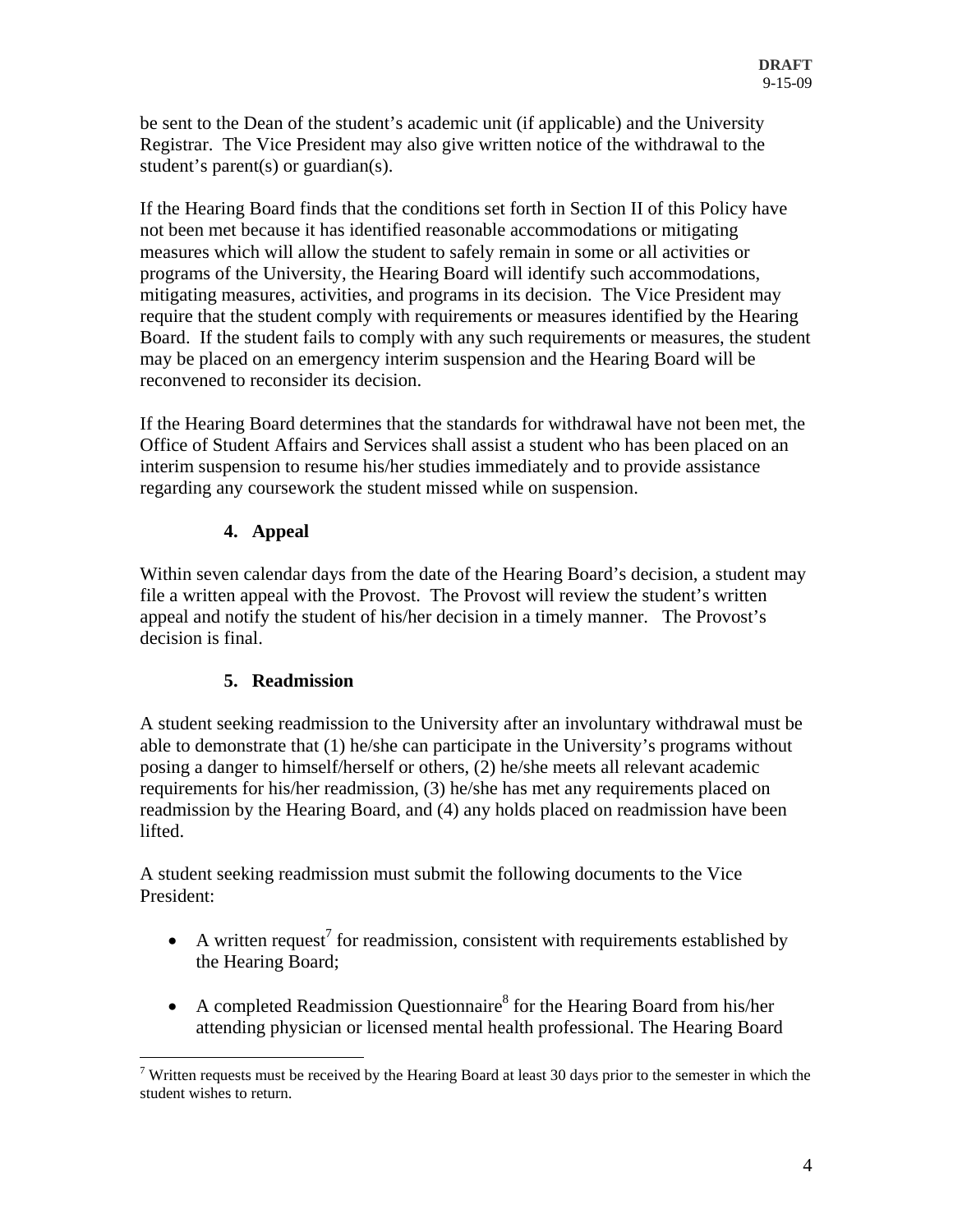be sent to the Dean of the student's academic unit (if applicable) and the University Registrar. The Vice President may also give written notice of the withdrawal to the student's parent(s) or guardian(s).

If the Hearing Board finds that the conditions set forth in Section II of this Policy have not been met because it has identified reasonable accommodations or mitigating measures which will allow the student to safely remain in some or all activities or programs of the University, the Hearing Board will identify such accommodations, mitigating measures, activities, and programs in its decision. The Vice President may require that the student comply with requirements or measures identified by the Hearing Board. If the student fails to comply with any such requirements or measures, the student may be placed on an emergency interim suspension and the Hearing Board will be reconvened to reconsider its decision.

If the Hearing Board determines that the standards for withdrawal have not been met, the Office of Student Affairs and Services shall assist a student who has been placed on an interim suspension to resume his/her studies immediately and to provide assistance regarding any coursework the student missed while on suspension.

### **4. Appeal**

Within seven calendar days from the date of the Hearing Board's decision, a student may file a written appeal with the Provost. The Provost will review the student's written appeal and notify the student of his/her decision in a timely manner. The Provost's decision is final.

# **5. Readmission**

A student seeking readmission to the University after an involuntary withdrawal must be able to demonstrate that (1) he/she can participate in the University's programs without posing a danger to himself/herself or others, (2) he/she meets all relevant academic requirements for his/her readmission, (3) he/she has met any requirements placed on readmission by the Hearing Board, and (4) any holds placed on readmission have been lifted.

A student seeking readmission must submit the following documents to the Vice President:

- A written request<sup>7</sup> for readmission, consistent with requirements established by the Hearing Board;
- A completed Readmission Questionnaire<sup>8</sup> for the Hearing Board from his/her attending physician or licensed mental health professional. The Hearing Board

 $\overline{a}$ <sup>7</sup> Written requests must be received by the Hearing Board at least 30 days prior to the semester in which the student wishes to return.